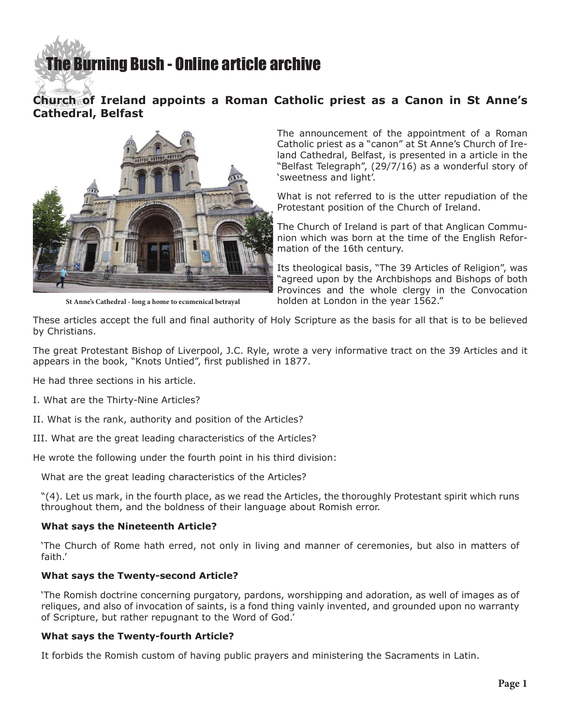# [The Burning Bush - Online article archive](http://www.ivanfoster.net)

## **Church of Ireland appoints a Roman Catholic priest as a Canon in St Anne's Cathedral, Belfast**



**St Anne's Cathedral - long a home to ecumenical betrayal**

The announcement of the appointment of a Roman Catholic priest as a "canon" at St Anne's Church of Ireland Cathedral, Belfast, is presented in a article in the "Belfast Telegraph", (29/7/16) as a wonderful story of 'sweetness and light'.

What is not referred to is the utter repudiation of the Protestant position of the Church of Ireland.

The Church of Ireland is part of that Anglican Communion which was born at the time of the English Reformation of the 16th century.

Its theological basis, "The 39 Articles of Religion", was "agreed upon by the Archbishops and Bishops of both Provinces and the whole clergy in the Convocation holden at London in the year 1562."

These articles accept the full and final authority of Holy Scripture as the basis for all that is to be believed by Christians.

The great Protestant Bishop of Liverpool, J.C. Ryle, wrote a very informative tract on the 39 Articles and it appears in the book, "Knots Untied", first published in 1877.

He had three sections in his article.

I. What are the Thirty-Nine Articles?

- II. What is the rank, authority and position of the Articles?
- III. What are the great leading characteristics of the Articles?

He wrote the following under the fourth point in his third division:

What are the great leading characteristics of the Articles?

"(4). Let us mark, in the fourth place, as we read the Articles, the thoroughly Protestant spirit which runs throughout them, and the boldness of their language about Romish error.

## **What says the Nineteenth Article?**

'The Church of Rome hath erred, not only in living and manner of ceremonies, but also in matters of faith.'

## **What says the Twenty-second Article?**

'The Romish doctrine concerning purgatory, pardons, worshipping and adoration, as well of images as of reliques, and also of invocation of saints, is a fond thing vainly invented, and grounded upon no warranty of Scripture, but rather repugnant to the Word of God.'

## **What says the Twenty-fourth Article?**

It forbids the Romish custom of having public prayers and ministering the Sacraments in Latin.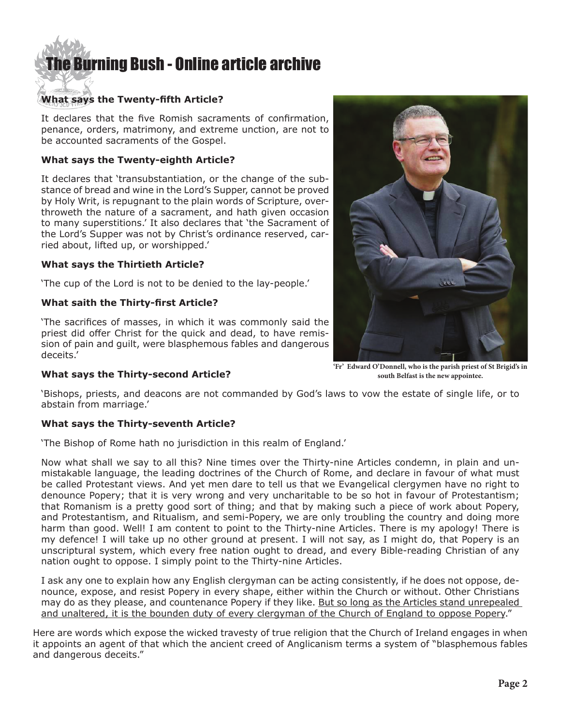# [The Burning Bush - Online article archive](http://www.ivanfoster.net)

## **What says the Twenty-fifth Article?**

It declares that the five Romish sacraments of confirmation, penance, orders, matrimony, and extreme unction, are not to be accounted sacraments of the Gospel.

## **What says the Twenty-eighth Article?**

It declares that 'transubstantiation, or the change of the substance of bread and wine in the Lord's Supper, cannot be proved by Holy Writ, is repugnant to the plain words of Scripture, overthroweth the nature of a sacrament, and hath given occasion to many superstitions.' It also declares that 'the Sacrament of the Lord's Supper was not by Christ's ordinance reserved, carried about, lifted up, or worshipped.'

## **What says the Thirtieth Article?**

'The cup of the Lord is not to be denied to the lay-people.'

## **What saith the Thirty-first Article?**

'The sacrifices of masses, in which it was commonly said the priest did offer Christ for the quick and dead, to have remission of pain and guilt, were blasphemous fables and dangerous deceits.'





**'Fr' Edward O'Donnell, who is the parish priest of St Brigid's in south Belfast is the new appointee.**

'Bishops, priests, and deacons are not commanded by God's laws to vow the estate of single life, or to abstain from marriage.'

## **What says the Thirty-seventh Article?**

'The Bishop of Rome hath no jurisdiction in this realm of England.'

Now what shall we say to all this? Nine times over the Thirty-nine Articles condemn, in plain and unmistakable language, the leading doctrines of the Church of Rome, and declare in favour of what must be called Protestant views. And yet men dare to tell us that we Evangelical clergymen have no right to denounce Popery; that it is very wrong and very uncharitable to be so hot in favour of Protestantism; that Romanism is a pretty good sort of thing; and that by making such a piece of work about Popery, and Protestantism, and Ritualism, and semi-Popery, we are only troubling the country and doing more harm than good. Well! I am content to point to the Thirty-nine Articles. There is my apology! There is my defence! I will take up no other ground at present. I will not say, as I might do, that Popery is an unscriptural system, which every free nation ought to dread, and every Bible-reading Christian of any nation ought to oppose. I simply point to the Thirty-nine Articles.

I ask any one to explain how any English clergyman can be acting consistently, if he does not oppose, denounce, expose, and resist Popery in every shape, either within the Church or without. Other Christians may do as they please, and countenance Popery if they like. But so long as the Articles stand unrepealed and unaltered, it is the bounden duty of every clergyman of the Church of England to oppose Popery."

Here are words which expose the wicked travesty of true religion that the Church of Ireland engages in when it appoints an agent of that which the ancient creed of Anglicanism terms a system of "blasphemous fables and dangerous deceits."